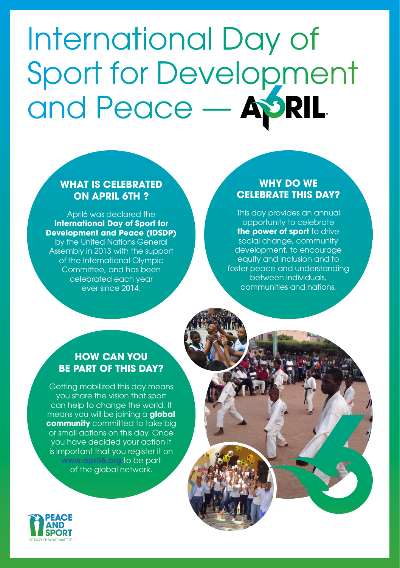# International Day of Sport for Development and Peace — ASRIL

#### **WHAT IS CELEBRATED ON APRIL 6TH ?**

April6 was declared the **International Day of Sport for Development and Peace (IDSDP)** by the United Nations General Assembly in 2013 with the support of the International Olympic Committee, and has been celebrated each year ever since 2014.

#### **WHY DO WE CELEBRATE THIS DAY?**

This day provides an annual opportunity to celebrate **the power of sport** to drive social change, community development, to encourage equity and inclusion and to foster peace and understanding between individuals, communities and nations.

#### **HOW CAN YOU BE PART OF THIS DAY?**

Getting mobilized this day means you share the vision that sport can help to change the world. It means you will be joining a **global community** committed to take big or small actions on this day. Once you have decided your action it is important that you register it on **[www.april6.org](https://www.april6.org/en/)** to be part of the global network.

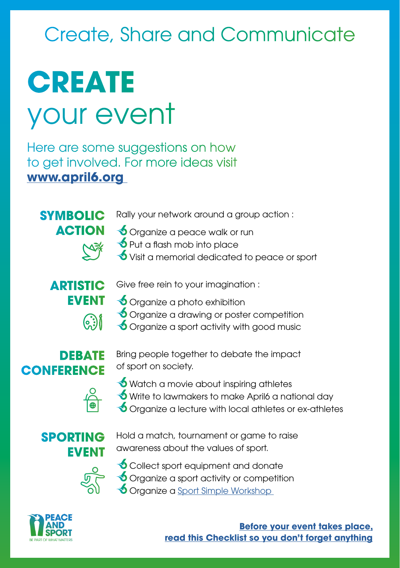## Create, Share and Communicate

## **CREATE** your event

Here are some suggestions on how to get involved. For more ideas visit **[www.april6.org](https://www.april6.org/en/)** 

**SYMBOLIC ACTION**

Rally your network around a group action :

- **S** Organize a peace walk or run
- $\bigcirc$  Put a flash mob into place
- Visit a memorial dedicated to peace or sport

#### **ARTISTIC EVENT** ြွေ့ါ်

- Give free rein to your imagination :
- **S** Organize a photo exhibition
- **S** Organize a drawing or poster competition
- **S** Organize a sport activity with good music

#### **DEBATE CONFERENCE**

Bring people together to debate the impact of sport on society.



- $\bigcirc$  Watch a movie about inspiring athletes Write to lawmakers to make April6 a national day
- Organize a lecture with local athletes or ex-athletes

#### **SPORTING EVENT**

Hold a match, tournament or game to raise awareness about the values of sport.



Collect sport equipment and donate Organize a sport activity or competition

Organize a [Sport Simple Workshop](http://www.peace-sport.org/wp-content/uploads/2018/02/fiche-sportsimpleworkshop-EN.pdf) 



**[Before your event takes place,](https://www.april6.org/en/toolbox/event-organization/checklist-of-your-event.html) [read this Checklist so you don't forget anything](https://www.april6.org/en/toolbox/event-organization/checklist-of-your-event.html)**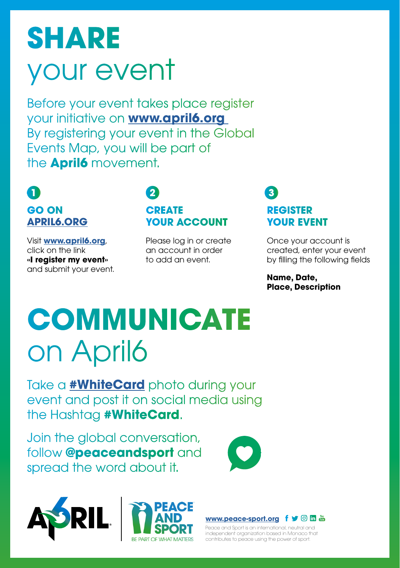# **SHARE**  your event

Before your event takes place register your initiative on **[www.april6.org](http://www.april6.org )** By registering your event in the Global Events Map, you will be part of the **April6** movement.

## **GO ON [APRIL6.ORG](http://april6.org)**

Visit **[www.april6.org](http://www.april6.org)**, click on the link **«I register my event»**  and submit your event.

#### **1 2 3 CREATE YOUR ACCOUNT**

Please log in or create an account in order to add an event.

### **REGISTER YOUR EVENT**

Once your account is created, enter your event by filling the following fields

**Name, Date, Place, Description**

# **COMMUNICATE**  on April6

Take a **[#WhiteCard]( http://www.peace-sport.org/wp-content/uploads/2018/02/fiche-whitecard-EN.pdf)** photo during your event and post it on social media using the Hashtag **#WhiteCard**.

Join the global conversation, follow **@peaceandsport** and spread the word about it.









Peace and Sport is an international, neutral and independent organization based in Monaco that contributes to peace using the power of sport.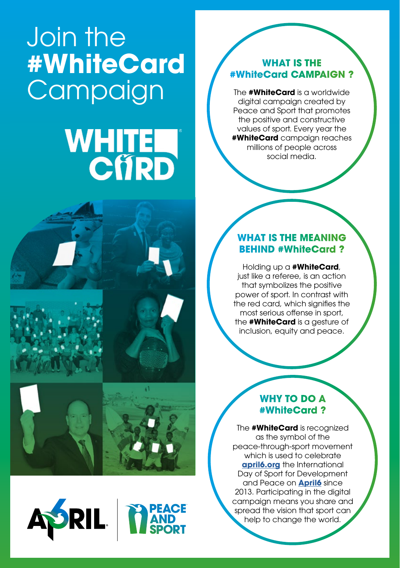## Join the **#WhiteCard Campaign**

# **WHITE**











#### **WHAT IS THE #WhiteCard CAMPAIGN ?**

The **#WhiteCard** is a worldwide digital campaign created by Peace and Sport that promotes the positive and constructive values of sport. Every year the **#WhiteCard** campaign reaches millions of people across social media.

#### **WHAT IS THE MEANING BEHIND #WhiteCard ?**

Holding up a **#WhiteCard**, just like a referee, is an action that symbolizes the positive power of sport. In contrast with the red card, which signifies the most serious offense in sport, the **#WhiteCard** is a gesture of inclusion, equity and peace.

#### **WHY TO DO A #WhiteCard ?**

The **#WhiteCard** is recognized as the symbol of the peace-through-sport movement which is used to celebrate **[april6.org](https://www.april6.org/fr/)** the International Day of Sport for Development and Peace on **[April6](https://www.april6.org/fr/)** since 2013. Participating in the digital campaign means you share and spread the vision that sport can help to change the world.